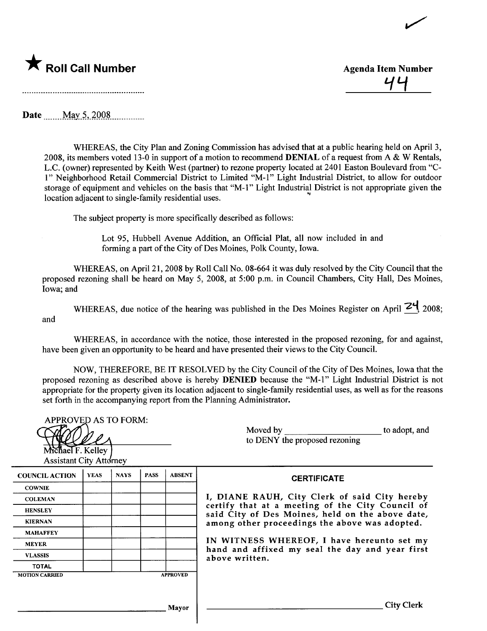

<u>77</u>

 $\overline{\phantom{0}}$ 

Date. \_\_ uu M~y..S- ..2QQ.S\_\_. \_\_ \_\_n\_\_\_

WHREAS, the City Plan and Zoning Commission has advised that at a public hearing held on April 3, 2008, its members voted 13-0 in support of a motion to recommend DENIAL of a request from A & W Rentals, L.C. (owner) represented by Keith West (partner) to rezone property located at 2401 Easton Boulevard from "C-1" Neighborhood Retail Commercial District to Limited "M-1" Light Industrial District, to allow for outdoor storage of equipment and vehicles on the basis that "M-1" Light Industrial District is not appropriate given the location adjacent to single-family residential uses.

The subject property is more specifically described as follows:

Lot 95, Hubbell Avenue Addition, an Official Plat, all now included in and forming a part of the City of Des Moines, Polk County, Iowa.

WHREAS, on April 21, 2008 by Roll Call No. 08-664 it was duly resolved by the City Council that the proposed rezoning shall be heard on May 5, 2008, at 5:00 p.m. in Council Chambers, City Hall, Des Moines, Iowa; and

WHEREAS, due notice of the hearing was published in the Des Moines Register on April  $24$  2008; and

WHEREAS, in accordance with the notice, those interested in the proposed rezoning, for and against, have been given an opportunity to be heard and have presented their views to the City CounciL.

NOW, THEREFORE, BE IT RESOLVED by the City Council of the City of Des Moines, Iowa that the proposed rezoning as described above is hereby DENIED because the "M-1" Light Industrial District is not appropriate for the property given its location adjacent to single-family residential uses, as well as for the reasons set forth in the accompanying report from the Planning Administrator.

| <b>APPROVED AS TO FORM:</b><br>Michael F. Kelley<br><b>Assistant City Attorney</b> |             |             |             |                 | Moved by<br>to adopt, and<br>to DENY the proposed rezoning                                                                                                                                              |
|------------------------------------------------------------------------------------|-------------|-------------|-------------|-----------------|---------------------------------------------------------------------------------------------------------------------------------------------------------------------------------------------------------|
| <b>COUNCIL ACTION</b>                                                              | <b>YEAS</b> | <b>NAYS</b> | <b>PASS</b> | <b>ABSENT</b>   | <b>CERTIFICATE</b>                                                                                                                                                                                      |
| <b>COWNIE</b>                                                                      |             |             |             |                 |                                                                                                                                                                                                         |
| <b>COLEMAN</b>                                                                     |             |             |             |                 | I, DIANE RAUH, City Clerk of said City hereby<br>certify that at a meeting of the City Council of<br>said City of Des Moines, held on the above date,<br>among other proceedings the above was adopted. |
| <b>HENSLEY</b>                                                                     |             |             |             |                 |                                                                                                                                                                                                         |
| <b>KIERNAN</b>                                                                     |             |             |             |                 |                                                                                                                                                                                                         |
| <b>MAHAFFEY</b>                                                                    |             |             |             |                 |                                                                                                                                                                                                         |
| <b>MEYER</b>                                                                       |             |             |             |                 | IN WITNESS WHEREOF, I have hereunto set my<br>hand and affixed my seal the day and year first<br>above written.                                                                                         |
| <b>VLASSIS</b>                                                                     |             |             |             |                 |                                                                                                                                                                                                         |
| <b>TOTAL</b>                                                                       |             |             |             |                 |                                                                                                                                                                                                         |
| <b>MOTION CARRIED</b>                                                              |             |             |             | <b>APPROVED</b> |                                                                                                                                                                                                         |
|                                                                                    |             |             |             | <b>Mayor</b>    | <b>City Clerk</b>                                                                                                                                                                                       |